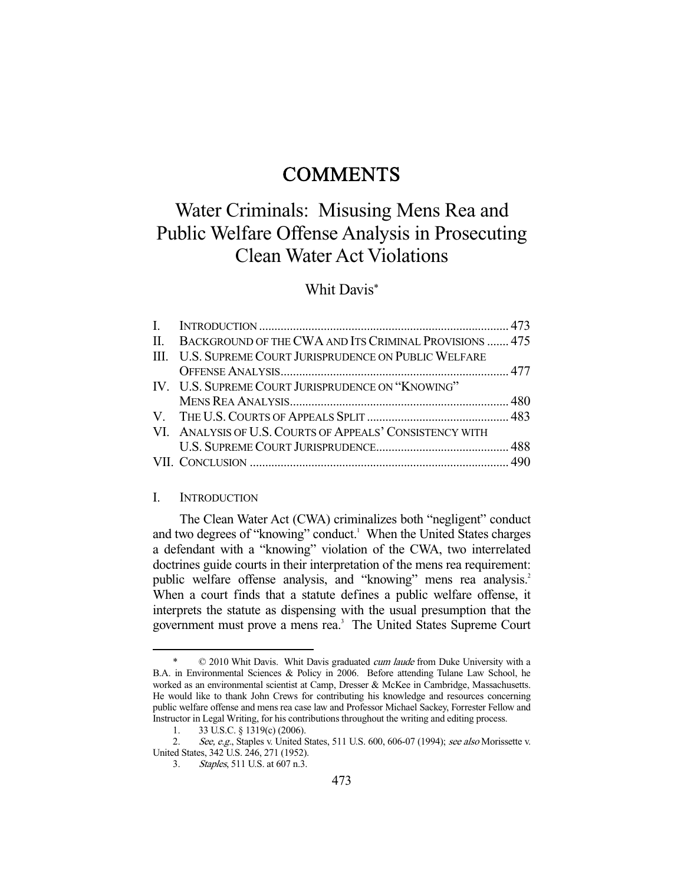## **COMMENTS**

# Water Criminals: Misusing Mens Rea and Public Welfare Offense Analysis in Prosecuting Clean Water Act Violations

## Whit Davis\*

| II. BACKGROUND OF THE CWA AND ITS CRIMINAL PROVISIONS  475 |  |
|------------------------------------------------------------|--|
| III. U.S. SUPREME COURT JURISPRUDENCE ON PUBLIC WELFARE    |  |
|                                                            |  |
| IV. U.S. SUPREME COURT JURISPRUDENCE ON "KNOWING"          |  |
|                                                            |  |
|                                                            |  |
| VI. ANALYSIS OF U.S. COURTS OF APPEALS' CONSISTENCY WITH   |  |
|                                                            |  |
|                                                            |  |

#### I. INTRODUCTION

 The Clean Water Act (CWA) criminalizes both "negligent" conduct and two degrees of "knowing" conduct.<sup>1</sup> When the United States charges a defendant with a "knowing" violation of the CWA, two interrelated doctrines guide courts in their interpretation of the mens rea requirement: public welfare offense analysis, and "knowing" mens rea analysis.<sup>2</sup> When a court finds that a statute defines a public welfare offense, it interprets the statute as dispensing with the usual presumption that the government must prove a mens rea.<sup>3</sup> The United States Supreme Court

<sup>-</sup> $© 2010$  Whit Davis. Whit Davis graduated cum laude from Duke University with a B.A. in Environmental Sciences & Policy in 2006. Before attending Tulane Law School, he worked as an environmental scientist at Camp, Dresser & McKee in Cambridge, Massachusetts. He would like to thank John Crews for contributing his knowledge and resources concerning public welfare offense and mens rea case law and Professor Michael Sackey, Forrester Fellow and Instructor in Legal Writing, for his contributions throughout the writing and editing process.

 <sup>1. 33</sup> U.S.C. § 1319(c) (2006).

<sup>2.</sup> See, e.g., Staples v. United States, 511 U.S. 600, 606-07 (1994); see also Morissette v. United States, 342 U.S. 246, 271 (1952).

 <sup>3.</sup> Staples, 511 U.S. at 607 n.3.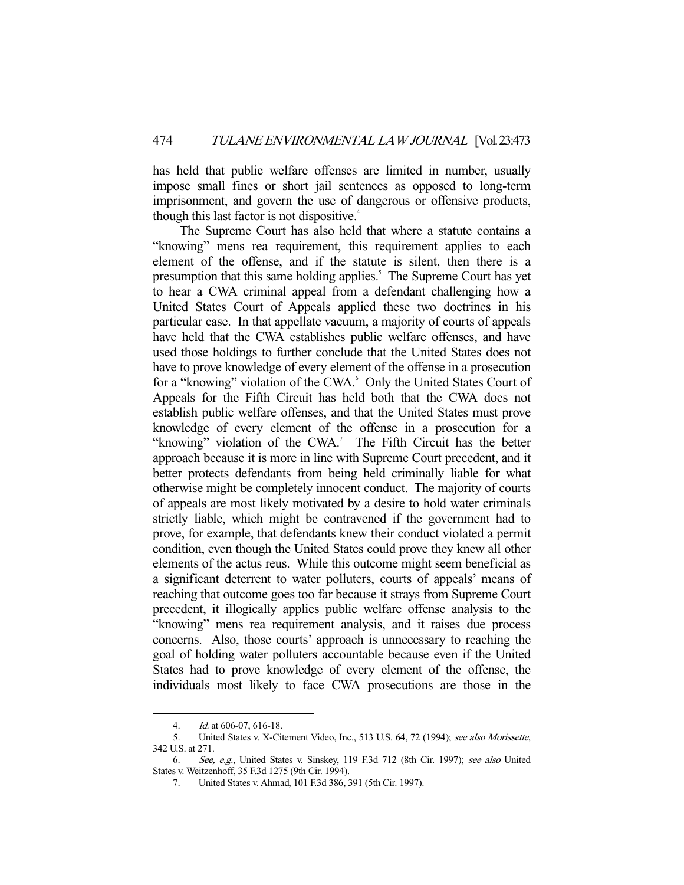has held that public welfare offenses are limited in number, usually impose small fines or short jail sentences as opposed to long-term imprisonment, and govern the use of dangerous or offensive products, though this last factor is not dispositive.<sup>4</sup>

 The Supreme Court has also held that where a statute contains a "knowing" mens rea requirement, this requirement applies to each element of the offense, and if the statute is silent, then there is a presumption that this same holding applies.<sup>5</sup> The Supreme Court has yet to hear a CWA criminal appeal from a defendant challenging how a United States Court of Appeals applied these two doctrines in his particular case. In that appellate vacuum, a majority of courts of appeals have held that the CWA establishes public welfare offenses, and have used those holdings to further conclude that the United States does not have to prove knowledge of every element of the offense in a prosecution for a "knowing" violation of the CWA.<sup>6</sup> Only the United States Court of Appeals for the Fifth Circuit has held both that the CWA does not establish public welfare offenses, and that the United States must prove knowledge of every element of the offense in a prosecution for a "knowing" violation of the CWA. $\degree$  The Fifth Circuit has the better approach because it is more in line with Supreme Court precedent, and it better protects defendants from being held criminally liable for what otherwise might be completely innocent conduct. The majority of courts of appeals are most likely motivated by a desire to hold water criminals strictly liable, which might be contravened if the government had to prove, for example, that defendants knew their conduct violated a permit condition, even though the United States could prove they knew all other elements of the actus reus. While this outcome might seem beneficial as a significant deterrent to water polluters, courts of appeals' means of reaching that outcome goes too far because it strays from Supreme Court precedent, it illogically applies public welfare offense analysis to the "knowing" mens rea requirement analysis, and it raises due process concerns. Also, those courts' approach is unnecessary to reaching the goal of holding water polluters accountable because even if the United States had to prove knowledge of every element of the offense, the individuals most likely to face CWA prosecutions are those in the

 <sup>4.</sup> Id. at 606-07, 616-18.

 <sup>5.</sup> United States v. X-Citement Video, Inc., 513 U.S. 64, 72 (1994); see also Morissette, 342 U.S. at 271.

 <sup>6.</sup> See, e.g., United States v. Sinskey, 119 F.3d 712 (8th Cir. 1997); see also United States v. Weitzenhoff, 35 F.3d 1275 (9th Cir. 1994).

 <sup>7.</sup> United States v. Ahmad, 101 F.3d 386, 391 (5th Cir. 1997).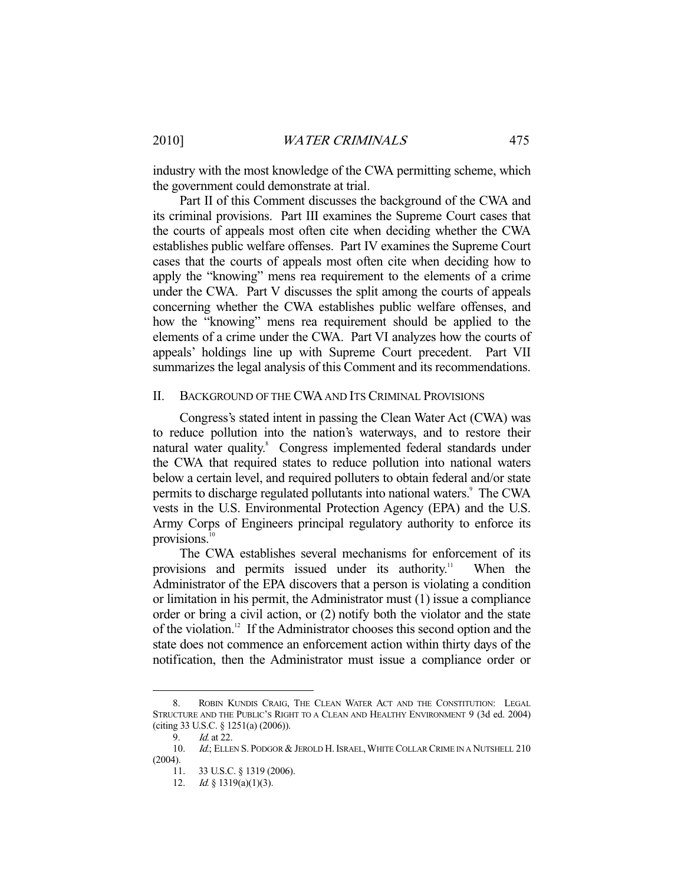industry with the most knowledge of the CWA permitting scheme, which the government could demonstrate at trial.

 Part II of this Comment discusses the background of the CWA and its criminal provisions. Part III examines the Supreme Court cases that the courts of appeals most often cite when deciding whether the CWA establishes public welfare offenses. Part IV examines the Supreme Court cases that the courts of appeals most often cite when deciding how to apply the "knowing" mens rea requirement to the elements of a crime under the CWA. Part V discusses the split among the courts of appeals concerning whether the CWA establishes public welfare offenses, and how the "knowing" mens rea requirement should be applied to the elements of a crime under the CWA. Part VI analyzes how the courts of appeals' holdings line up with Supreme Court precedent. Part VII summarizes the legal analysis of this Comment and its recommendations.

#### II. BACKGROUND OF THE CWA AND ITS CRIMINAL PROVISIONS

 Congress's stated intent in passing the Clean Water Act (CWA) was to reduce pollution into the nation's waterways, and to restore their natural water quality. Congress implemented federal standards under the CWA that required states to reduce pollution into national waters below a certain level, and required polluters to obtain federal and/or state permits to discharge regulated pollutants into national waters.<sup>9</sup> The CWA vests in the U.S. Environmental Protection Agency (EPA) and the U.S. Army Corps of Engineers principal regulatory authority to enforce its provisions. $10$ 

 The CWA establishes several mechanisms for enforcement of its provisions and permits issued under its authority.<sup>11</sup> When the Administrator of the EPA discovers that a person is violating a condition or limitation in his permit, the Administrator must (1) issue a compliance order or bring a civil action, or (2) notify both the violator and the state of the violation.12 If the Administrator chooses this second option and the state does not commence an enforcement action within thirty days of the notification, then the Administrator must issue a compliance order or

 <sup>8.</sup> ROBIN KUNDIS CRAIG, THE CLEAN WATER ACT AND THE CONSTITUTION: LEGAL STRUCTURE AND THE PUBLIC'S RIGHT TO A CLEAN AND HEALTHY ENVIRONMENT 9 (3d ed. 2004) (citing 33 U.S.C. § 1251(a) (2006)).

<sup>9.</sup> *Id.* at 22.

<sup>10.</sup> Id.; ELLEN S. PODGOR & JEROLD H. ISRAEL, WHITE COLLAR CRIME IN A NUTSHELL 210 (2004).

 <sup>11. 33</sup> U.S.C. § 1319 (2006).

<sup>12.</sup> *Id.* § 1319(a)(1)(3).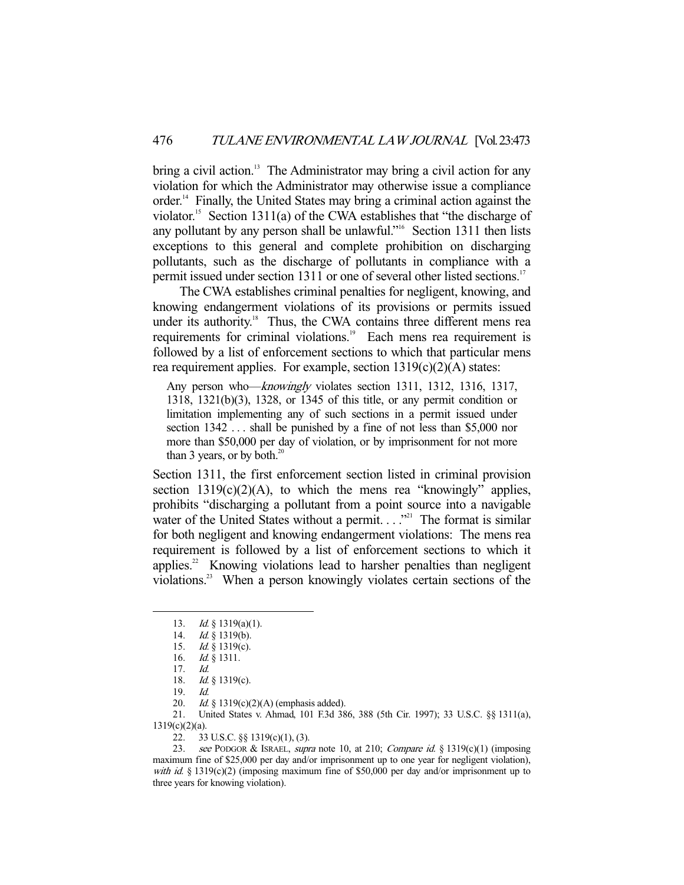bring a civil action.<sup>13</sup> The Administrator may bring a civil action for any violation for which the Administrator may otherwise issue a compliance order.14 Finally, the United States may bring a criminal action against the violator.<sup>15</sup> Section 1311(a) of the CWA establishes that "the discharge of any pollutant by any person shall be unlawful."16 Section 1311 then lists exceptions to this general and complete prohibition on discharging pollutants, such as the discharge of pollutants in compliance with a permit issued under section 1311 or one of several other listed sections.<sup>17</sup>

 The CWA establishes criminal penalties for negligent, knowing, and knowing endangerment violations of its provisions or permits issued under its authority.<sup>18</sup> Thus, the CWA contains three different mens rea requirements for criminal violations.<sup>19</sup> Each mens rea requirement is followed by a list of enforcement sections to which that particular mens rea requirement applies. For example, section 1319(c)(2)(A) states:

Any person who—knowingly violates section 1311, 1312, 1316, 1317, 1318, 1321(b)(3), 1328, or 1345 of this title, or any permit condition or limitation implementing any of such sections in a permit issued under section 1342 ... shall be punished by a fine of not less than \$5,000 nor more than \$50,000 per day of violation, or by imprisonment for not more than 3 years, or by both. $^{20}$ 

Section 1311, the first enforcement section listed in criminal provision section  $1319(c)(2)(A)$ , to which the mens rea "knowingly" applies, prohibits "discharging a pollutant from a point source into a navigable water of the United States without a permit.  $\ldots$ <sup>21</sup> The format is similar for both negligent and knowing endangerment violations: The mens rea requirement is followed by a list of enforcement sections to which it applies. $2^2$  Knowing violations lead to harsher penalties than negligent violations.23 When a person knowingly violates certain sections of the

-

 21. United States v. Ahmad, 101 F.3d 386, 388 (5th Cir. 1997); 33 U.S.C. §§ 1311(a), 1319(c)(2)(a).

22. 33 U.S.C. §§ 1319(c)(1), (3).

 <sup>13.</sup> Id. § 1319(a)(1).

<sup>14.</sup> *Id.* § 1319(b).

 <sup>15.</sup> Id. § 1319(c).

 <sup>16.</sup> Id. § 1311.

 <sup>17.</sup> Id.

<sup>18.</sup> *Id.* § 1319(c).

 <sup>19.</sup> Id.

Id. § 1319(c)(2)(A) (emphasis added).

<sup>23.</sup> see PODGOR & ISRAEL, supra note 10, at 210; Compare id. § 1319(c)(1) (imposing maximum fine of \$25,000 per day and/or imprisonment up to one year for negligent violation), with id. § 1319(c)(2) (imposing maximum fine of \$50,000 per day and/or imprisonment up to three years for knowing violation).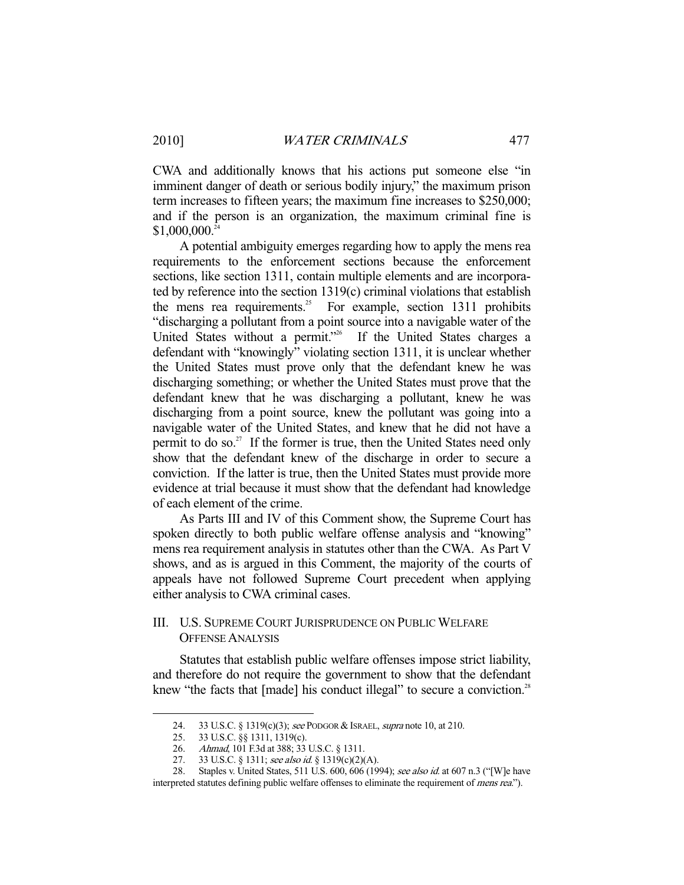CWA and additionally knows that his actions put someone else "in imminent danger of death or serious bodily injury," the maximum prison term increases to fifteen years; the maximum fine increases to \$250,000; and if the person is an organization, the maximum criminal fine is  $$1,000,000.<sup>24</sup>$ 

 A potential ambiguity emerges regarding how to apply the mens rea requirements to the enforcement sections because the enforcement sections, like section 1311, contain multiple elements and are incorporated by reference into the section 1319(c) criminal violations that establish the mens rea requirements.<sup>25</sup> For example, section 1311 prohibits "discharging a pollutant from a point source into a navigable water of the United States without a permit."<sup>26</sup> If the United States charges a defendant with "knowingly" violating section 1311, it is unclear whether the United States must prove only that the defendant knew he was discharging something; or whether the United States must prove that the defendant knew that he was discharging a pollutant, knew he was discharging from a point source, knew the pollutant was going into a navigable water of the United States, and knew that he did not have a permit to do so.<sup>27</sup> If the former is true, then the United States need only show that the defendant knew of the discharge in order to secure a conviction. If the latter is true, then the United States must provide more evidence at trial because it must show that the defendant had knowledge of each element of the crime.

 As Parts III and IV of this Comment show, the Supreme Court has spoken directly to both public welfare offense analysis and "knowing" mens rea requirement analysis in statutes other than the CWA. As Part V shows, and as is argued in this Comment, the majority of the courts of appeals have not followed Supreme Court precedent when applying either analysis to CWA criminal cases.

#### III. U.S. SUPREME COURT JURISPRUDENCE ON PUBLIC WELFARE OFFENSE ANALYSIS

 Statutes that establish public welfare offenses impose strict liability, and therefore do not require the government to show that the defendant knew "the facts that [made] his conduct illegal" to secure a conviction.<sup>28</sup>

<sup>24. 33</sup> U.S.C. § 1319(c)(3); see PODGOR & ISRAEL, supra note 10, at 210.

 <sup>25. 33</sup> U.S.C. §§ 1311, 1319(c).

<sup>26.</sup> *Ahmad*, 101 F.3d at 388; 33 U.S.C. § 1311.

<sup>27. 33</sup> U.S.C. § 1311; see also id. § 1319(c)(2)(A).

<sup>28.</sup> Staples v. United States, 511 U.S. 600, 606 (1994); see also id. at 607 n.3 ("[W]e have

interpreted statutes defining public welfare offenses to eliminate the requirement of *mens rea*.").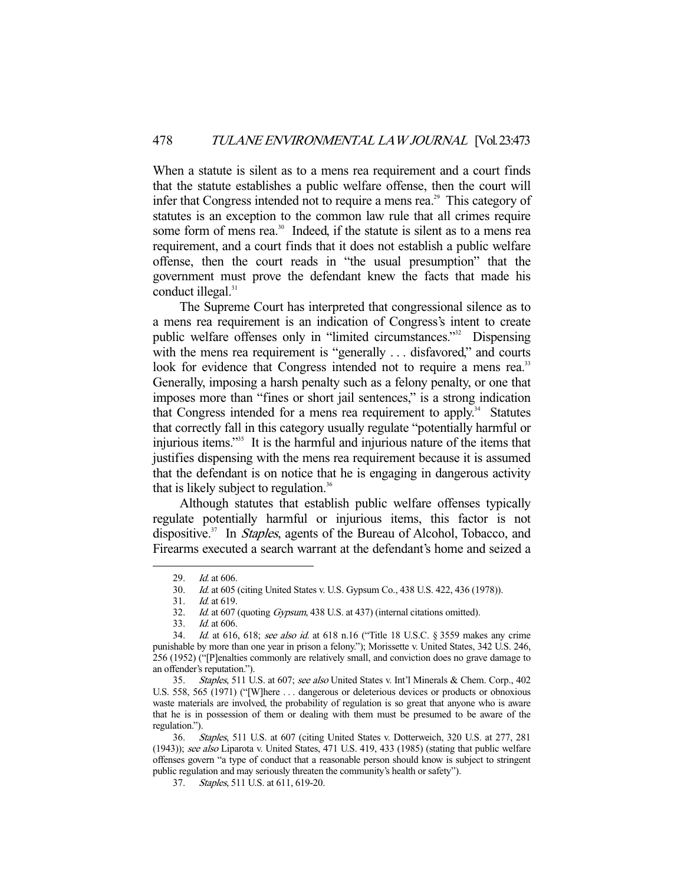When a statute is silent as to a mens rea requirement and a court finds that the statute establishes a public welfare offense, then the court will infer that Congress intended not to require a mens rea.<sup>29</sup> This category of statutes is an exception to the common law rule that all crimes require some form of mens rea.<sup>30</sup> Indeed, if the statute is silent as to a mens rea requirement, and a court finds that it does not establish a public welfare offense, then the court reads in "the usual presumption" that the government must prove the defendant knew the facts that made his conduct illegal.<sup>31</sup>

 The Supreme Court has interpreted that congressional silence as to a mens rea requirement is an indication of Congress's intent to create public welfare offenses only in "limited circumstances."32 Dispensing with the mens rea requirement is "generally ... disfavored," and courts look for evidence that Congress intended not to require a mens rea.<sup>33</sup> Generally, imposing a harsh penalty such as a felony penalty, or one that imposes more than "fines or short jail sentences," is a strong indication that Congress intended for a mens rea requirement to apply.<sup>34</sup> Statutes that correctly fall in this category usually regulate "potentially harmful or injurious items."35 It is the harmful and injurious nature of the items that justifies dispensing with the mens rea requirement because it is assumed that the defendant is on notice that he is engaging in dangerous activity that is likely subject to regulation.<sup>36</sup>

 Although statutes that establish public welfare offenses typically regulate potentially harmful or injurious items, this factor is not dispositive.<sup>37</sup> In *Staples*, agents of the Bureau of Alcohol, Tobacco, and Firearms executed a search warrant at the defendant's home and seized a

<sup>29.</sup> *Id.* at 606.

Id. at 605 (citing United States v. U.S. Gypsum Co., 438 U.S. 422, 436 (1978)). 30. *Id.* at 605<br>31. *Id.* at 619.

<sup>32.</sup> Id. at 607 (quoting Gypsum, 438 U.S. at 437) (internal citations omitted).

 <sup>33.</sup> Id. at 606.

<sup>34.</sup> *Id.* at 616, 618; see also id. at 618 n.16 ("Title 18 U.S.C. § 3559 makes any crime punishable by more than one year in prison a felony."); Morissette v. United States, 342 U.S. 246, 256 (1952) ("[P]enalties commonly are relatively small, and conviction does no grave damage to an offender's reputation.").

 <sup>35.</sup> Staples, 511 U.S. at 607; see also United States v. Int'l Minerals & Chem. Corp., 402 U.S. 558, 565 (1971) ("[W]here . . . dangerous or deleterious devices or products or obnoxious waste materials are involved, the probability of regulation is so great that anyone who is aware that he is in possession of them or dealing with them must be presumed to be aware of the regulation.").

<sup>36.</sup> Staples, 511 U.S. at 607 (citing United States v. Dotterweich, 320 U.S. at 277, 281 (1943)); see also Liparota v. United States, 471 U.S. 419, 433 (1985) (stating that public welfare offenses govern "a type of conduct that a reasonable person should know is subject to stringent public regulation and may seriously threaten the community's health or safety").

 <sup>37.</sup> Staples, 511 U.S. at 611, 619-20.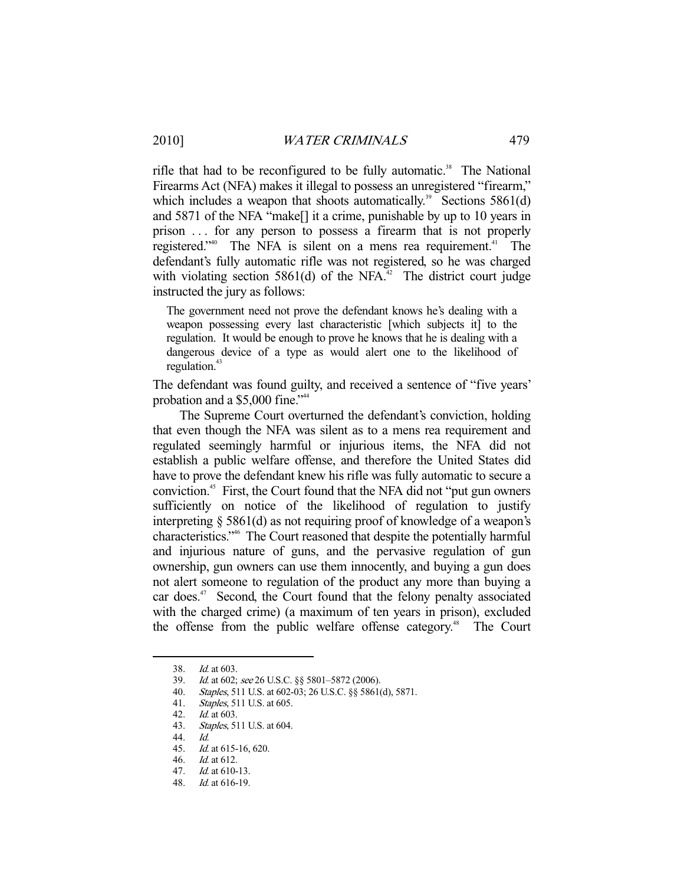rifle that had to be reconfigured to be fully automatic.<sup>38</sup> The National Firearms Act (NFA) makes it illegal to possess an unregistered "firearm," which includes a weapon that shoots automatically.<sup>39</sup> Sections 5861(d) and 5871 of the NFA "make[] it a crime, punishable by up to 10 years in prison . . . for any person to possess a firearm that is not properly registered."<sup>40</sup> The NFA is silent on a mens rea requirement.<sup>41</sup> The defendant's fully automatic rifle was not registered, so he was charged with violating section 5861(d) of the NFA $^{42}$ . The district court judge instructed the jury as follows:

The government need not prove the defendant knows he's dealing with a weapon possessing every last characteristic [which subjects it] to the regulation. It would be enough to prove he knows that he is dealing with a dangerous device of a type as would alert one to the likelihood of regulation.<sup>43</sup>

The defendant was found guilty, and received a sentence of "five years' probation and a \$5,000 fine."<sup>44</sup>

 The Supreme Court overturned the defendant's conviction, holding that even though the NFA was silent as to a mens rea requirement and regulated seemingly harmful or injurious items, the NFA did not establish a public welfare offense, and therefore the United States did have to prove the defendant knew his rifle was fully automatic to secure a conviction.45 First, the Court found that the NFA did not "put gun owners sufficiently on notice of the likelihood of regulation to justify interpreting § 5861(d) as not requiring proof of knowledge of a weapon's characteristics."46 The Court reasoned that despite the potentially harmful and injurious nature of guns, and the pervasive regulation of gun ownership, gun owners can use them innocently, and buying a gun does not alert someone to regulation of the product any more than buying a car does.<sup>47</sup> Second, the Court found that the felony penalty associated with the charged crime) (a maximum of ten years in prison), excluded the offense from the public welfare offense category.<sup>48</sup> The Court

 <sup>38.</sup> Id. at 603.

<sup>39.</sup> *Id.* at 602; see 26 U.S.C. §§ 5801–5872 (2006).<br>40. *Staples*, 511 U.S. at 602-03; 26 U.S.C. §§ 5861

Staples, 511 U.S. at 602-03; 26 U.S.C. §§ 5861(d), 5871.

<sup>41.</sup> *Staples*, 511 U.S. at 605.<br>42. *Id.* at 603.

*Id.* at 603.

 <sup>43.</sup> Staples, 511 U.S. at 604.

 <sup>44.</sup> Id.

 <sup>45.</sup> Id. at 615-16, 620.

 <sup>46.</sup> Id. at 612.

 <sup>47.</sup> Id. at 610-13.

 <sup>48.</sup> Id. at 616-19.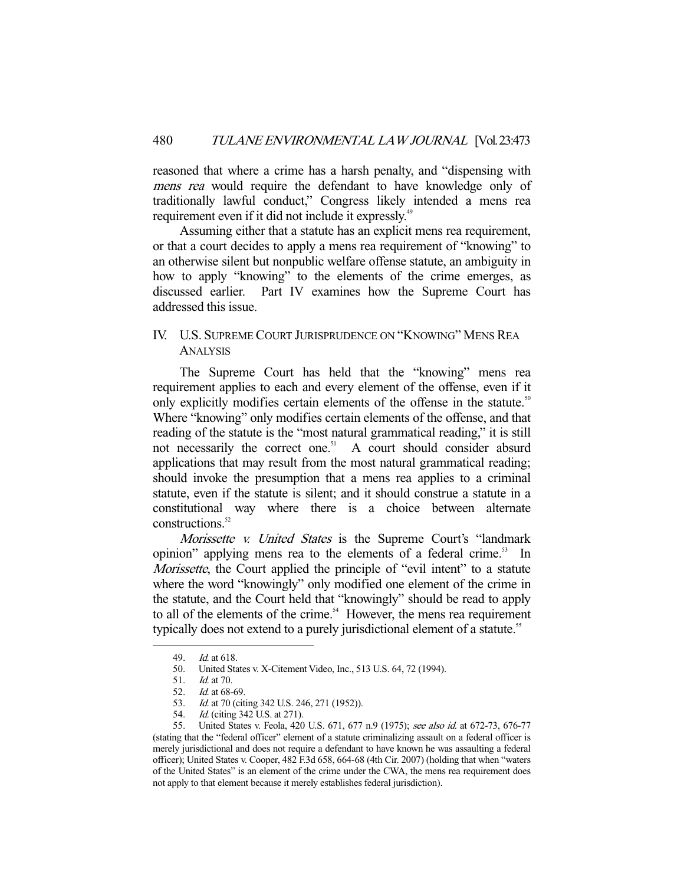reasoned that where a crime has a harsh penalty, and "dispensing with mens rea would require the defendant to have knowledge only of traditionally lawful conduct," Congress likely intended a mens rea requirement even if it did not include it expressly.<sup>49</sup>

 Assuming either that a statute has an explicit mens rea requirement, or that a court decides to apply a mens rea requirement of "knowing" to an otherwise silent but nonpublic welfare offense statute, an ambiguity in how to apply "knowing" to the elements of the crime emerges, as discussed earlier. Part IV examines how the Supreme Court has addressed this issue.

### IV. U.S. SUPREME COURT JURISPRUDENCE ON "KNOWING" MENS REA ANALYSIS

 The Supreme Court has held that the "knowing" mens rea requirement applies to each and every element of the offense, even if it only explicitly modifies certain elements of the offense in the statute.<sup>50</sup> Where "knowing" only modifies certain elements of the offense, and that reading of the statute is the "most natural grammatical reading," it is still not necessarily the correct one.<sup>51</sup> A court should consider absurd applications that may result from the most natural grammatical reading; should invoke the presumption that a mens rea applies to a criminal statute, even if the statute is silent; and it should construe a statute in a constitutional way where there is a choice between alternate constructions.<sup>52</sup>

Morissette v. United States is the Supreme Court's "landmark" opinion" applying mens rea to the elements of a federal crime.<sup>53</sup> In Morissette, the Court applied the principle of "evil intent" to a statute where the word "knowingly" only modified one element of the crime in the statute, and the Court held that "knowingly" should be read to apply to all of the elements of the crime.<sup>54</sup> However, the mens rea requirement typically does not extend to a purely jurisdictional element of a statute.<sup>55</sup>

-

*Id.* (citing 342 U.S. at 271).

<sup>49.</sup> *Id.* at 618.

 <sup>50.</sup> United States v. X-Citement Video, Inc., 513 U.S. 64, 72 (1994).

 <sup>51.</sup> Id. at 70.

 <sup>52.</sup> Id. at 68-69.

<sup>53.</sup> *Id.* at 70 (citing 342 U.S. 246, 271 (1952)).<br>54. *Id.* (citing 342 U.S. at 271).

 <sup>55.</sup> United States v. Feola, 420 U.S. 671, 677 n.9 (1975); see also id. at 672-73, 676-77 (stating that the "federal officer" element of a statute criminalizing assault on a federal officer is merely jurisdictional and does not require a defendant to have known he was assaulting a federal officer); United States v. Cooper, 482 F.3d 658, 664-68 (4th Cir. 2007) (holding that when "waters of the United States" is an element of the crime under the CWA, the mens rea requirement does not apply to that element because it merely establishes federal jurisdiction).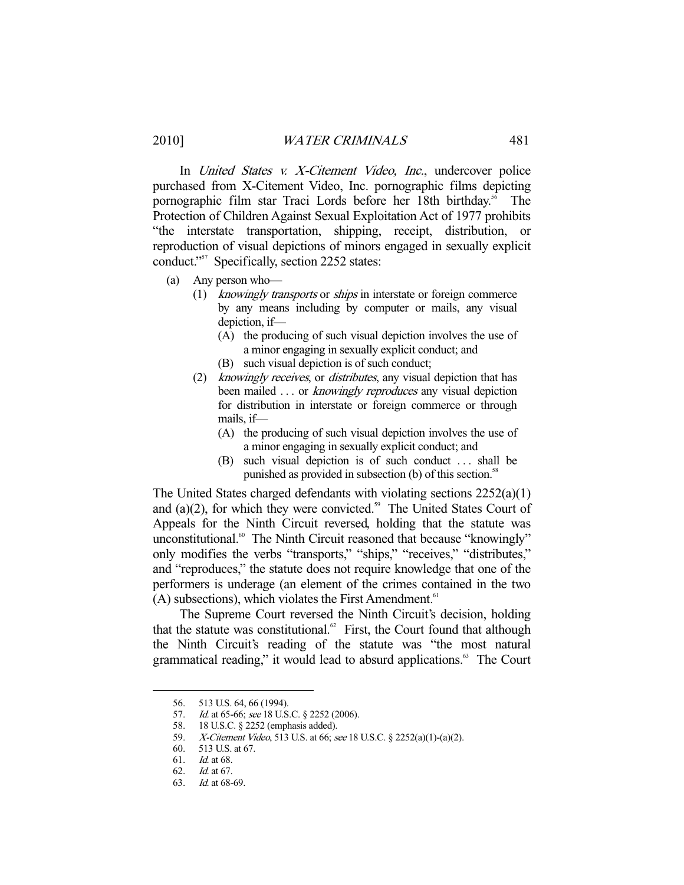In United States v. X-Citement Video, Inc., undercover police purchased from X-Citement Video, Inc. pornographic films depicting pornographic film star Traci Lords before her 18th birthday.<sup>56</sup> The Protection of Children Against Sexual Exploitation Act of 1977 prohibits "the interstate transportation, shipping, receipt, distribution, or reproduction of visual depictions of minors engaged in sexually explicit conduct."57 Specifically, section 2252 states:

- (a) Any person who—
	- (1) knowingly transports or ships in interstate or foreign commerce by any means including by computer or mails, any visual depiction, if—
		- (A) the producing of such visual depiction involves the use of a minor engaging in sexually explicit conduct; and
		- (B) such visual depiction is of such conduct;
	- (2) knowingly receives, or distributes, any visual depiction that has been mailed ... or *knowingly reproduces* any visual depiction for distribution in interstate or foreign commerce or through mails, if—
		- (A) the producing of such visual depiction involves the use of a minor engaging in sexually explicit conduct; and
		- (B) such visual depiction is of such conduct . . . shall be punished as provided in subsection (b) of this section.<sup>58</sup>

The United States charged defendants with violating sections 2252(a)(1) and (a) $(2)$ , for which they were convicted.<sup>59</sup> The United States Court of Appeals for the Ninth Circuit reversed, holding that the statute was unconstitutional.<sup>60</sup> The Ninth Circuit reasoned that because "knowingly" only modifies the verbs "transports," "ships," "receives," "distributes," and "reproduces," the statute does not require knowledge that one of the performers is underage (an element of the crimes contained in the two  $(A)$  subsections), which violates the First Amendment.<sup>61</sup>

 The Supreme Court reversed the Ninth Circuit's decision, holding that the statute was constitutional. $62$  First, the Court found that although the Ninth Circuit's reading of the statute was "the most natural grammatical reading," it would lead to absurd applications.<sup>63</sup> The Court

 <sup>56. 513</sup> U.S. 64, 66 (1994).

<sup>57.</sup> *Id.* at 65-66; see 18 U.S.C. § 2252 (2006).

<sup>58. 18</sup> U.S.C. § 2252 (emphasis added).<br>59. *X-Citement Video*, 513 U.S. at 66; *s* 60. 513 U.S. at 67.

 <sup>59.</sup> X-Citement Video, 513 U.S. at 66; see 18 U.S.C. § 2252(a)(1)-(a)(2).

<sup>513</sup> U.S. at 67.

 <sup>61.</sup> Id. at 68.

 <sup>62.</sup> Id. at 67.

 <sup>63.</sup> Id. at 68-69.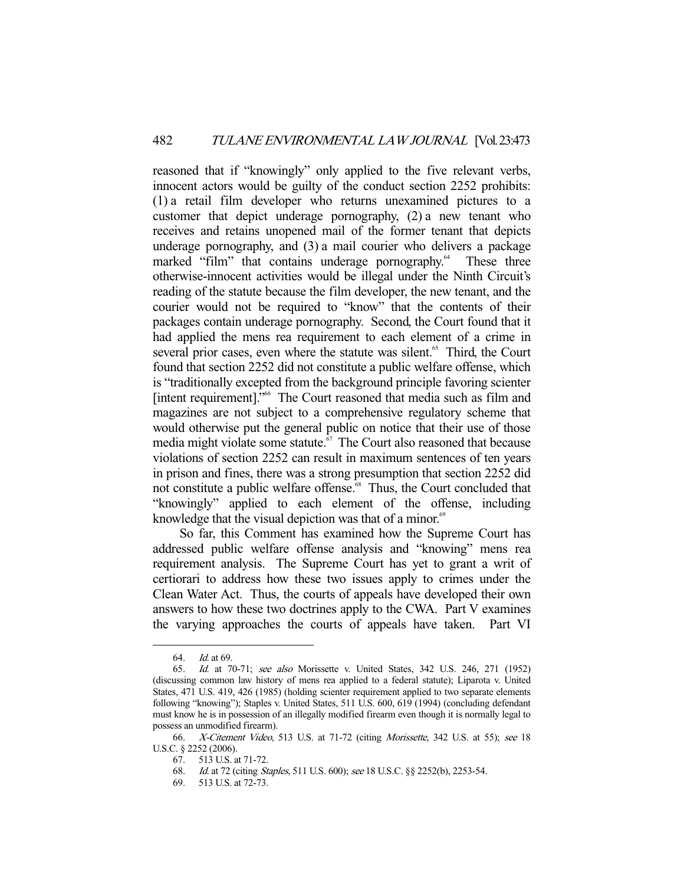reasoned that if "knowingly" only applied to the five relevant verbs, innocent actors would be guilty of the conduct section 2252 prohibits: (1) a retail film developer who returns unexamined pictures to a customer that depict underage pornography, (2) a new tenant who receives and retains unopened mail of the former tenant that depicts underage pornography, and (3) a mail courier who delivers a package marked "film" that contains underage pornography.<sup>64</sup> These three otherwise-innocent activities would be illegal under the Ninth Circuit's reading of the statute because the film developer, the new tenant, and the courier would not be required to "know" that the contents of their packages contain underage pornography. Second, the Court found that it had applied the mens rea requirement to each element of a crime in several prior cases, even where the statute was silent.<sup>65</sup> Third, the Court found that section 2252 did not constitute a public welfare offense, which is "traditionally excepted from the background principle favoring scienter [intent requirement]."66 The Court reasoned that media such as film and magazines are not subject to a comprehensive regulatory scheme that would otherwise put the general public on notice that their use of those media might violate some statute.<sup>67</sup> The Court also reasoned that because violations of section 2252 can result in maximum sentences of ten years in prison and fines, there was a strong presumption that section 2252 did not constitute a public welfare offense.<sup>68</sup> Thus, the Court concluded that "knowingly" applied to each element of the offense, including knowledge that the visual depiction was that of a minor.<sup>69</sup>

 So far, this Comment has examined how the Supreme Court has addressed public welfare offense analysis and "knowing" mens rea requirement analysis. The Supreme Court has yet to grant a writ of certiorari to address how these two issues apply to crimes under the Clean Water Act. Thus, the courts of appeals have developed their own answers to how these two doctrines apply to the CWA. Part V examines the varying approaches the courts of appeals have taken. Part VI

 <sup>64.</sup> Id. at 69.

 <sup>65.</sup> Id. at 70-71; see also Morissette v. United States, 342 U.S. 246, 271 (1952) (discussing common law history of mens rea applied to a federal statute); Liparota v. United States, 471 U.S. 419, 426 (1985) (holding scienter requirement applied to two separate elements following "knowing"); Staples v. United States, 511 U.S. 600, 619 (1994) (concluding defendant must know he is in possession of an illegally modified firearm even though it is normally legal to possess an unmodified firearm).

<sup>66.</sup> X-Citement Video, 513 U.S. at 71-72 (citing Morissette, 342 U.S. at 55); see 18 U.S.C. § 2252 (2006).

 <sup>67. 513</sup> U.S. at 71-72.

 <sup>68.</sup> Id. at 72 (citing Staples, 511 U.S. 600); see 18 U.S.C. §§ 2252(b), 2253-54.

 <sup>69. 513</sup> U.S. at 72-73.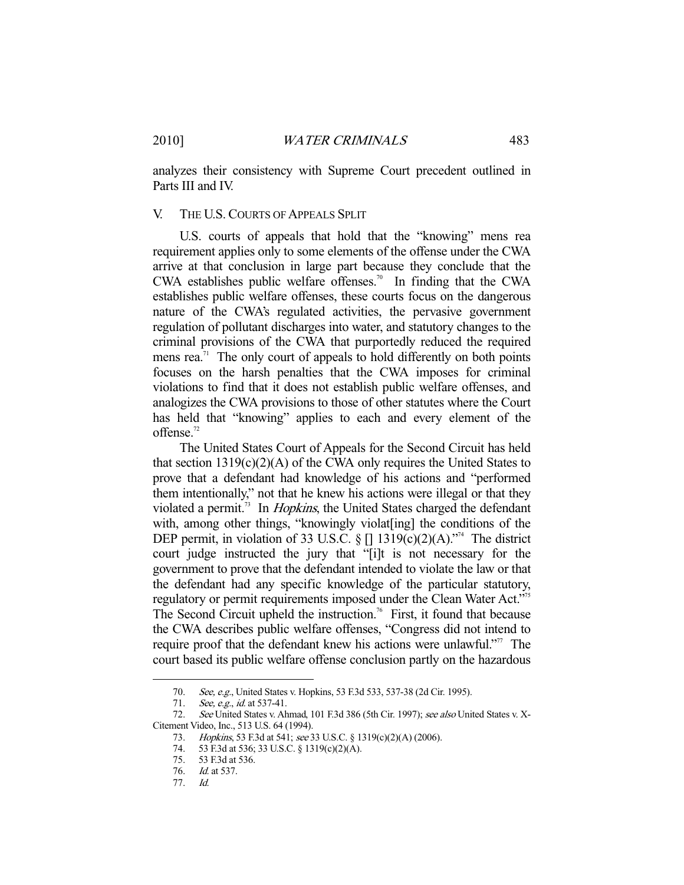analyzes their consistency with Supreme Court precedent outlined in Parts III and IV.

#### V. THE U.S. COURTS OF APPEALS SPLIT

 U.S. courts of appeals that hold that the "knowing" mens rea requirement applies only to some elements of the offense under the CWA arrive at that conclusion in large part because they conclude that the CWA establishes public welfare offenses.<sup>70</sup> In finding that the CWA establishes public welfare offenses, these courts focus on the dangerous nature of the CWA's regulated activities, the pervasive government regulation of pollutant discharges into water, and statutory changes to the criminal provisions of the CWA that purportedly reduced the required mens rea.<sup>71</sup> The only court of appeals to hold differently on both points focuses on the harsh penalties that the CWA imposes for criminal violations to find that it does not establish public welfare offenses, and analogizes the CWA provisions to those of other statutes where the Court has held that "knowing" applies to each and every element of the offense.<sup>72</sup>

 The United States Court of Appeals for the Second Circuit has held that section  $1319(c)(2)(A)$  of the CWA only requires the United States to prove that a defendant had knowledge of his actions and "performed them intentionally," not that he knew his actions were illegal or that they violated a permit.<sup>73</sup> In *Hopkins*, the United States charged the defendant with, among other things, "knowingly violat [ing] the conditions of the DEP permit, in violation of 33 U.S.C. § []  $1319(c)(2)(A)$ ."<sup>4</sup> The district court judge instructed the jury that "[i]t is not necessary for the government to prove that the defendant intended to violate the law or that the defendant had any specific knowledge of the particular statutory, regulatory or permit requirements imposed under the Clean Water Act."75 The Second Circuit upheld the instruction.<sup>76</sup> First, it found that because the CWA describes public welfare offenses, "Congress did not intend to require proof that the defendant knew his actions were unlawful."<sup>77</sup> The court based its public welfare offense conclusion partly on the hazardous

<sup>70.</sup> See, e.g., United States v. Hopkins, 53 F.3d 533, 537-38 (2d Cir. 1995).

<sup>71.</sup> See, e.g., id. at 537-41.

<sup>72.</sup> See United States v. Ahmad, 101 F.3d 386 (5th Cir. 1997); see also United States v. X-Citement Video, Inc., 513 U.S. 64 (1994).

<sup>73.</sup> *Hopkins*, 53 F.3d at 541; see 33 U.S.C. § 1319(c)(2)(A) (2006).

 <sup>74. 53</sup> F.3d at 536; 33 U.S.C. § 1319(c)(2)(A).

 <sup>75. 53</sup> F.3d at 536.

 <sup>76.</sup> Id. at 537.

 <sup>77.</sup> Id.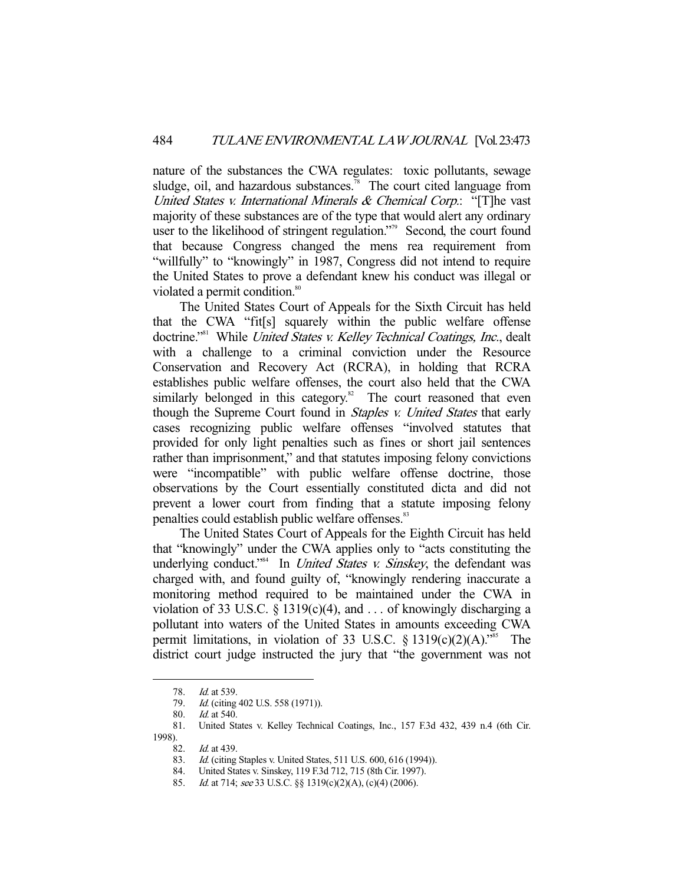nature of the substances the CWA regulates: toxic pollutants, sewage sludge, oil, and hazardous substances.<sup>78</sup> The court cited language from United States v. International Minerals & Chemical Corp.: "[T]he vast majority of these substances are of the type that would alert any ordinary user to the likelihood of stringent regulation."<sup>39</sup> Second, the court found that because Congress changed the mens rea requirement from "willfully" to "knowingly" in 1987, Congress did not intend to require the United States to prove a defendant knew his conduct was illegal or violated a permit condition.<sup>80</sup>

 The United States Court of Appeals for the Sixth Circuit has held that the CWA "fit[s] squarely within the public welfare offense doctrine."<sup>81</sup> While United States v. Kelley Technical Coatings, Inc., dealt with a challenge to a criminal conviction under the Resource Conservation and Recovery Act (RCRA), in holding that RCRA establishes public welfare offenses, the court also held that the CWA similarly belonged in this category.<sup>82</sup> The court reasoned that even though the Supreme Court found in *Staples v. United States* that early cases recognizing public welfare offenses "involved statutes that provided for only light penalties such as fines or short jail sentences rather than imprisonment," and that statutes imposing felony convictions were "incompatible" with public welfare offense doctrine, those observations by the Court essentially constituted dicta and did not prevent a lower court from finding that a statute imposing felony penalties could establish public welfare offenses.<sup>83</sup>

 The United States Court of Appeals for the Eighth Circuit has held that "knowingly" under the CWA applies only to "acts constituting the underlying conduct."<sup>84</sup> In *United States v. Sinskey*, the defendant was charged with, and found guilty of, "knowingly rendering inaccurate a monitoring method required to be maintained under the CWA in violation of 33 U.S.C. § 1319(c)(4), and ... of knowingly discharging a pollutant into waters of the United States in amounts exceeding CWA permit limitations, in violation of 33 U.S.C.  $\S$  1319(c)(2)(A).<sup>785</sup> The district court judge instructed the jury that "the government was not

 <sup>78.</sup> Id. at 539.

<sup>79.</sup> *Id.* (citing 402 U.S. 558 (1971)).

 <sup>80.</sup> Id. at 540.

 <sup>81.</sup> United States v. Kelley Technical Coatings, Inc., 157 F.3d 432, 439 n.4 (6th Cir. 1998).

Id. at 439.

<sup>83.</sup> Id. (citing Staples v. United States, 511 U.S. 600, 616 (1994)).

 <sup>84.</sup> United States v. Sinskey, 119 F.3d 712, 715 (8th Cir. 1997).

<sup>85.</sup> Id. at 714; see 33 U.S.C. §§ 1319(c)(2)(A), (c)(4) (2006).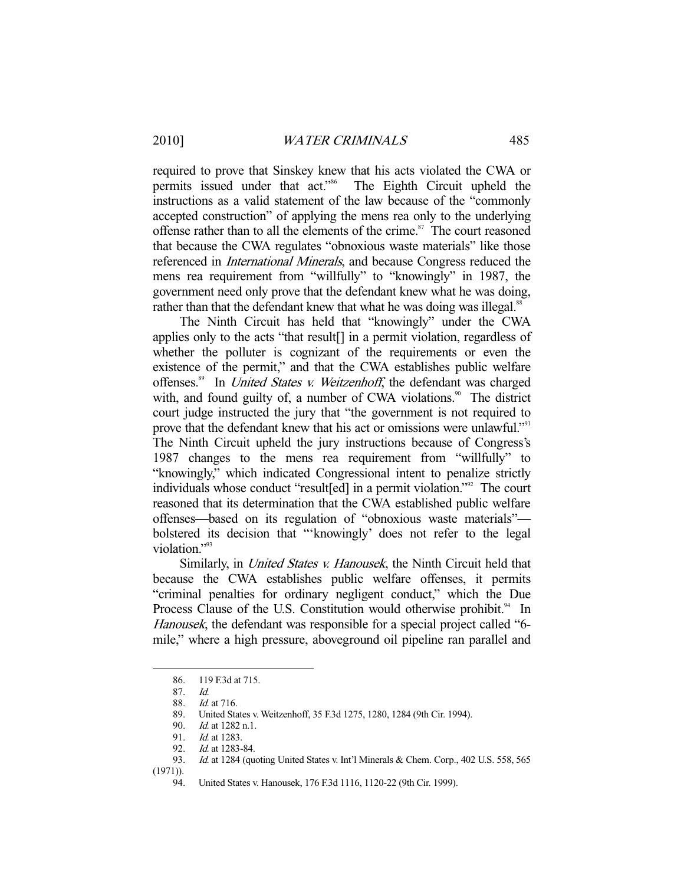required to prove that Sinskey knew that his acts violated the CWA or permits issued under that act."86 The Eighth Circuit upheld the instructions as a valid statement of the law because of the "commonly accepted construction" of applying the mens rea only to the underlying offense rather than to all the elements of the crime.<sup>87</sup> The court reasoned that because the CWA regulates "obnoxious waste materials" like those referenced in International Minerals, and because Congress reduced the mens rea requirement from "willfully" to "knowingly" in 1987, the government need only prove that the defendant knew what he was doing, rather than that the defendant knew that what he was doing was illegal.<sup>88</sup>

 The Ninth Circuit has held that "knowingly" under the CWA applies only to the acts "that result[] in a permit violation, regardless of whether the polluter is cognizant of the requirements or even the existence of the permit," and that the CWA establishes public welfare offenses.<sup>89</sup> In *United States v. Weitzenhoff*, the defendant was charged with, and found guilty of, a number of CWA violations.<sup>90</sup> The district court judge instructed the jury that "the government is not required to prove that the defendant knew that his act or omissions were unlawful."<sup>91</sup> The Ninth Circuit upheld the jury instructions because of Congress's 1987 changes to the mens rea requirement from "willfully" to "knowingly," which indicated Congressional intent to penalize strictly individuals whose conduct "result[ed] in a permit violation."<sup>92</sup> The court reasoned that its determination that the CWA established public welfare offenses—based on its regulation of "obnoxious waste materials" bolstered its decision that "'knowingly' does not refer to the legal violation."<sup>93</sup>

Similarly, in *United States v. Hanousek*, the Ninth Circuit held that because the CWA establishes public welfare offenses, it permits "criminal penalties for ordinary negligent conduct," which the Due Process Clause of the U.S. Constitution would otherwise prohibit.<sup>94</sup> In Hanousek, the defendant was responsible for a special project called "6 mile," where a high pressure, aboveground oil pipeline ran parallel and

 <sup>86. 119</sup> F.3d at 715.

<sup>87.</sup> Id.<br>88. Id.

Id. at 716.

 <sup>89.</sup> United States v. Weitzenhoff, 35 F.3d 1275, 1280, 1284 (9th Cir. 1994).

 <sup>90.</sup> Id. at 1282 n.1.

<sup>91.</sup> *Id.* at 1283.

<sup>92.</sup> *Id.* at 1283-84.<br>93. *Id.* at 1284 (au

Id. at 1284 (quoting United States v. Int'l Minerals & Chem. Corp., 402 U.S. 558, 565 (1971)).

 <sup>94.</sup> United States v. Hanousek, 176 F.3d 1116, 1120-22 (9th Cir. 1999).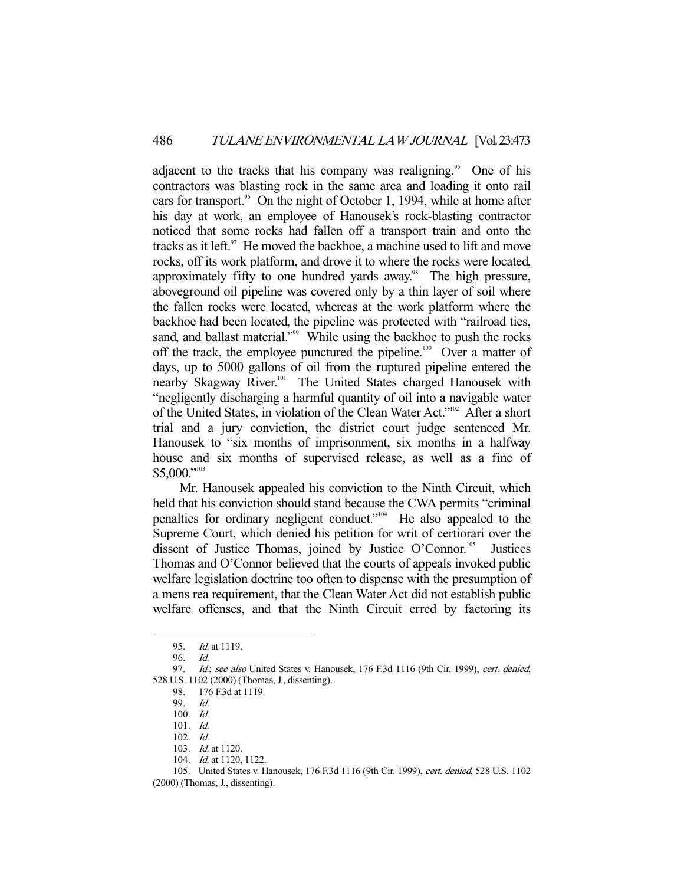adjacent to the tracks that his company was realigning.<sup>95</sup> One of his contractors was blasting rock in the same area and loading it onto rail cars for transport.<sup>96</sup> On the night of October 1, 1994, while at home after his day at work, an employee of Hanousek's rock-blasting contractor noticed that some rocks had fallen off a transport train and onto the tracks as it left. $97$  He moved the backhoe, a machine used to lift and move rocks, off its work platform, and drove it to where the rocks were located, approximately fifty to one hundred yards away.<sup>98</sup> The high pressure, aboveground oil pipeline was covered only by a thin layer of soil where the fallen rocks were located, whereas at the work platform where the backhoe had been located, the pipeline was protected with "railroad ties, sand, and ballast material."<sup>99</sup> While using the backhoe to push the rocks off the track, the employee punctured the pipeline.<sup>100</sup> Over a matter of days, up to 5000 gallons of oil from the ruptured pipeline entered the nearby Skagway River.<sup>101</sup> The United States charged Hanousek with "negligently discharging a harmful quantity of oil into a navigable water of the United States, in violation of the Clean Water Act."102 After a short trial and a jury conviction, the district court judge sentenced Mr. Hanousek to "six months of imprisonment, six months in a halfway house and six months of supervised release, as well as a fine of \$5,000."<sup>103</sup>

 Mr. Hanousek appealed his conviction to the Ninth Circuit, which held that his conviction should stand because the CWA permits "criminal penalties for ordinary negligent conduct."104 He also appealed to the Supreme Court, which denied his petition for writ of certiorari over the dissent of Justice Thomas, joined by Justice O'Connor.<sup>105</sup> Justices Thomas and O'Connor believed that the courts of appeals invoked public welfare legislation doctrine too often to dispense with the presumption of a mens rea requirement, that the Clean Water Act did not establish public welfare offenses, and that the Ninth Circuit erred by factoring its

 <sup>95.</sup> Id. at 1119.

 <sup>96.</sup> Id.

<sup>97.</sup> Id.; see also United States v. Hanousek, 176 F.3d 1116 (9th Cir. 1999), cert. denied, 528 U.S. 1102 (2000) (Thomas, J., dissenting).

 <sup>98. 176</sup> F.3d at 1119.

 <sup>99.</sup> Id.

 <sup>100.</sup> Id.

 <sup>101.</sup> Id.

 <sup>102.</sup> Id.

 <sup>103.</sup> Id. at 1120.

<sup>104.</sup> *Id.* at 1120, 1122.

 <sup>105.</sup> United States v. Hanousek, 176 F.3d 1116 (9th Cir. 1999), cert. denied, 528 U.S. 1102

<sup>(2000) (</sup>Thomas, J., dissenting).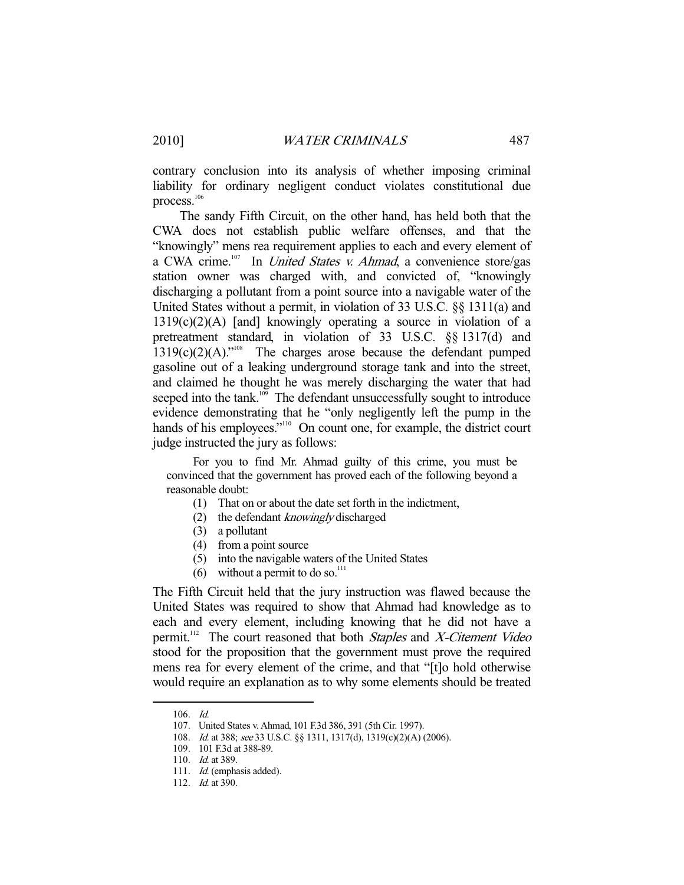contrary conclusion into its analysis of whether imposing criminal liability for ordinary negligent conduct violates constitutional due process.<sup>106</sup>

 The sandy Fifth Circuit, on the other hand, has held both that the CWA does not establish public welfare offenses, and that the "knowingly" mens rea requirement applies to each and every element of a CWA crime.<sup>107</sup> In *United States v. Ahmad*, a convenience store/gas station owner was charged with, and convicted of, "knowingly discharging a pollutant from a point source into a navigable water of the United States without a permit, in violation of 33 U.S.C. §§ 1311(a) and  $1319(c)(2)$ (A) [and] knowingly operating a source in violation of a pretreatment standard, in violation of 33 U.S.C. §§ 1317(d) and  $1319(c)(2)(A)$ ."<sup>108</sup> The charges arose because the defendant pumped gasoline out of a leaking underground storage tank and into the street, and claimed he thought he was merely discharging the water that had seeped into the tank.<sup>109</sup> The defendant unsuccessfully sought to introduce evidence demonstrating that he "only negligently left the pump in the hands of his employees."<sup>110</sup> On count one, for example, the district court judge instructed the jury as follows:

 For you to find Mr. Ahmad guilty of this crime, you must be convinced that the government has proved each of the following beyond a reasonable doubt:

- (1) That on or about the date set forth in the indictment,
- (2) the defendant knowingly discharged
- (3) a pollutant
- (4) from a point source
- (5) into the navigable waters of the United States
- (6) without a permit to do so.<sup>111</sup>

The Fifth Circuit held that the jury instruction was flawed because the United States was required to show that Ahmad had knowledge as to each and every element, including knowing that he did not have a permit.<sup>112</sup> The court reasoned that both *Staples* and *X*-Citement Video stood for the proposition that the government must prove the required mens rea for every element of the crime, and that "[t]o hold otherwise would require an explanation as to why some elements should be treated

 <sup>106.</sup> Id.

 <sup>107.</sup> United States v. Ahmad, 101 F.3d 386, 391 (5th Cir. 1997).

 <sup>108.</sup> Id. at 388; see 33 U.S.C. §§ 1311, 1317(d), 1319(c)(2)(A) (2006).

 <sup>109. 101</sup> F.3d at 388-89.

<sup>110.</sup> *Id.* at 389.

<sup>111.</sup> *Id.* (emphasis added).

<sup>112.</sup> *Id.* at 390.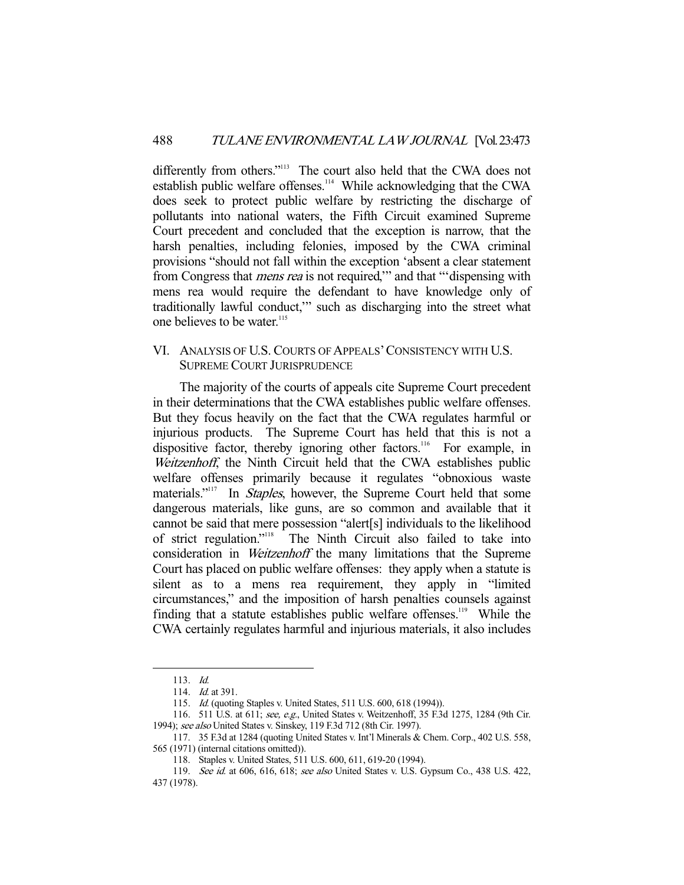differently from others."<sup>113</sup> The court also held that the CWA does not establish public welfare offenses.<sup>114</sup> While acknowledging that the CWA does seek to protect public welfare by restricting the discharge of pollutants into national waters, the Fifth Circuit examined Supreme Court precedent and concluded that the exception is narrow, that the harsh penalties, including felonies, imposed by the CWA criminal provisions "should not fall within the exception 'absent a clear statement from Congress that *mens rea* is not required," and that "'dispensing with mens rea would require the defendant to have knowledge only of traditionally lawful conduct,'" such as discharging into the street what one believes to be water.<sup>115</sup>

#### VI. ANALYSIS OF U.S. COURTS OF APPEALS'CONSISTENCY WITH U.S. SUPREME COURT JURISPRUDENCE

 The majority of the courts of appeals cite Supreme Court precedent in their determinations that the CWA establishes public welfare offenses. But they focus heavily on the fact that the CWA regulates harmful or injurious products. The Supreme Court has held that this is not a dispositive factor, thereby ignoring other factors.<sup>116</sup> For example, in Weitzenhoff, the Ninth Circuit held that the CWA establishes public welfare offenses primarily because it regulates "obnoxious waste materials."<sup>117</sup> In Staples, however, the Supreme Court held that some dangerous materials, like guns, are so common and available that it cannot be said that mere possession "alert[s] individuals to the likelihood of strict regulation."118 The Ninth Circuit also failed to take into consideration in Weitzenhoff the many limitations that the Supreme Court has placed on public welfare offenses: they apply when a statute is silent as to a mens rea requirement, they apply in "limited circumstances," and the imposition of harsh penalties counsels against finding that a statute establishes public welfare offenses.<sup>119</sup> While the CWA certainly regulates harmful and injurious materials, it also includes

 <sup>113.</sup> Id.

 <sup>114.</sup> Id. at 391.

 <sup>115.</sup> Id. (quoting Staples v. United States, 511 U.S. 600, 618 (1994)).

 <sup>116. 511</sup> U.S. at 611; see, e.g., United States v. Weitzenhoff, 35 F.3d 1275, 1284 (9th Cir. 1994); see also United States v. Sinskey, 119 F.3d 712 (8th Cir. 1997).

 <sup>117. 35</sup> F.3d at 1284 (quoting United States v. Int'l Minerals & Chem. Corp., 402 U.S. 558, 565 (1971) (internal citations omitted)).

 <sup>118.</sup> Staples v. United States, 511 U.S. 600, 611, 619-20 (1994).

 <sup>119.</sup> See id. at 606, 616, 618; see also United States v. U.S. Gypsum Co., 438 U.S. 422, 437 (1978).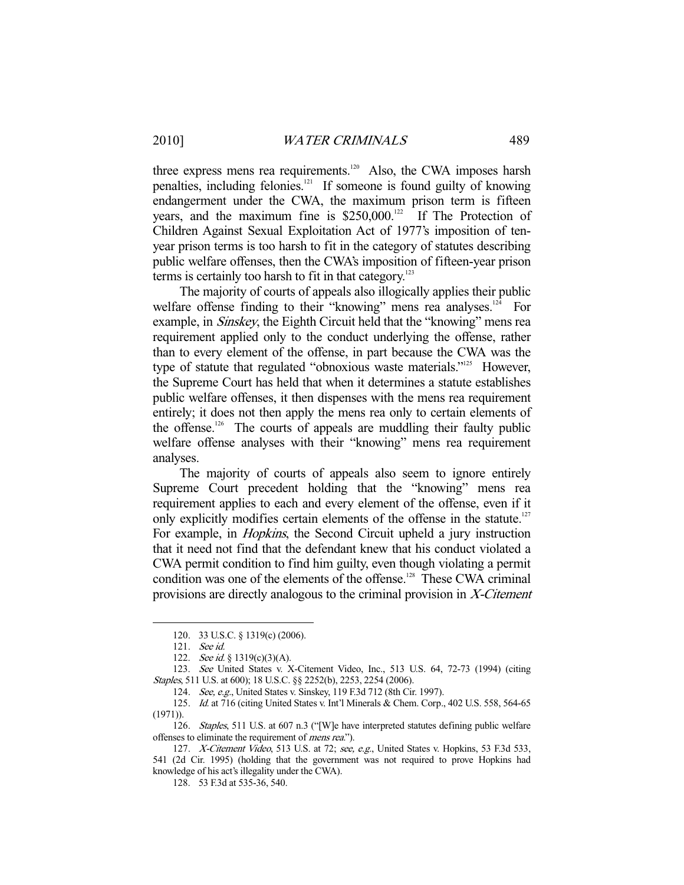three express mens rea requirements.<sup>120</sup> Also, the CWA imposes harsh penalties, including felonies.<sup>121</sup> If someone is found guilty of knowing endangerment under the CWA, the maximum prison term is fifteen years, and the maximum fine is  $$250,000$ .<sup>122</sup> If The Protection of Children Against Sexual Exploitation Act of 1977's imposition of tenyear prison terms is too harsh to fit in the category of statutes describing public welfare offenses, then the CWA's imposition of fifteen-year prison terms is certainly too harsh to fit in that category. $123$ 

 The majority of courts of appeals also illogically applies their public welfare offense finding to their "knowing" mens rea analyses.<sup>124</sup> For example, in Sinskey, the Eighth Circuit held that the "knowing" mens rea requirement applied only to the conduct underlying the offense, rather than to every element of the offense, in part because the CWA was the type of statute that regulated "obnoxious waste materials."<sup>125</sup> However, the Supreme Court has held that when it determines a statute establishes public welfare offenses, it then dispenses with the mens rea requirement entirely; it does not then apply the mens rea only to certain elements of the offense.<sup>126</sup> The courts of appeals are muddling their faulty public welfare offense analyses with their "knowing" mens rea requirement analyses.

 The majority of courts of appeals also seem to ignore entirely Supreme Court precedent holding that the "knowing" mens rea requirement applies to each and every element of the offense, even if it only explicitly modifies certain elements of the offense in the statute.<sup>127</sup> For example, in Hopkins, the Second Circuit upheld a jury instruction that it need not find that the defendant knew that his conduct violated a CWA permit condition to find him guilty, even though violating a permit condition was one of the elements of the offense.<sup>128</sup> These CWA criminal provisions are directly analogous to the criminal provision in X-Citement

 <sup>120. 33</sup> U.S.C. § 1319(c) (2006).

 <sup>121.</sup> See id.

<sup>122.</sup> *See id.* § 1319(c)(3)(A).

 <sup>123.</sup> See United States v. X-Citement Video, Inc., 513 U.S. 64, 72-73 (1994) (citing Staples, 511 U.S. at 600); 18 U.S.C. §§ 2252(b), 2253, 2254 (2006).

 <sup>124.</sup> See, e.g., United States v. Sinskey, 119 F.3d 712 (8th Cir. 1997).

 <sup>125.</sup> Id. at 716 (citing United States v. Int'l Minerals & Chem. Corp., 402 U.S. 558, 564-65 (1971)).

<sup>126.</sup> Staples, 511 U.S. at 607 n.3 ("[W]e have interpreted statutes defining public welfare offenses to eliminate the requirement of mens rea.").

<sup>127.</sup> X-Citement Video, 513 U.S. at 72; see, e.g., United States v. Hopkins, 53 F.3d 533, 541 (2d Cir. 1995) (holding that the government was not required to prove Hopkins had knowledge of his act's illegality under the CWA).

 <sup>128. 53</sup> F.3d at 535-36, 540.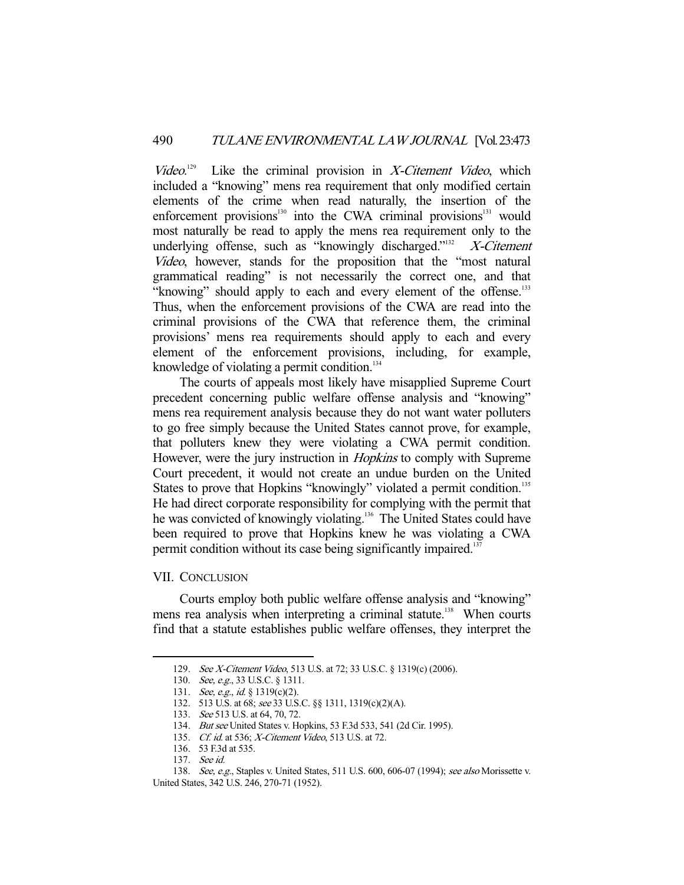Video. Like the criminal provision in  $X$ -Citement Video, which included a "knowing" mens rea requirement that only modified certain elements of the crime when read naturally, the insertion of the enforcement provisions $130$  into the CWA criminal provisions $131$  would most naturally be read to apply the mens rea requirement only to the underlying offense, such as "knowingly discharged."<sup>132</sup>  $X$ -Citement Video, however, stands for the proposition that the "most natural grammatical reading" is not necessarily the correct one, and that "knowing" should apply to each and every element of the offense.<sup>133</sup> Thus, when the enforcement provisions of the CWA are read into the criminal provisions of the CWA that reference them, the criminal provisions' mens rea requirements should apply to each and every element of the enforcement provisions, including, for example, knowledge of violating a permit condition. $134$ 

 The courts of appeals most likely have misapplied Supreme Court precedent concerning public welfare offense analysis and "knowing" mens rea requirement analysis because they do not want water polluters to go free simply because the United States cannot prove, for example, that polluters knew they were violating a CWA permit condition. However, were the jury instruction in *Hopkins* to comply with Supreme Court precedent, it would not create an undue burden on the United States to prove that Hopkins "knowingly" violated a permit condition.<sup>135</sup> He had direct corporate responsibility for complying with the permit that he was convicted of knowingly violating.<sup>136</sup> The United States could have been required to prove that Hopkins knew he was violating a CWA permit condition without its case being significantly impaired.<sup>137</sup>

#### VII. CONCLUSION

-

 Courts employ both public welfare offense analysis and "knowing" mens rea analysis when interpreting a criminal statute.<sup>138</sup> When courts find that a statute establishes public welfare offenses, they interpret the

 <sup>129.</sup> See X-Citement Video, 513 U.S. at 72; 33 U.S.C. § 1319(c) (2006).

<sup>130.</sup> *See, e.g.*, 33 U.S.C. § 1311.

<sup>131.</sup> *See, e.g., id.* § 1319(c)(2).

 <sup>132. 513</sup> U.S. at 68; see 33 U.S.C. §§ 1311, 1319(c)(2)(A).

 <sup>133.</sup> See 513 U.S. at 64, 70, 72.

 <sup>134.</sup> But see United States v. Hopkins, 53 F.3d 533, 541 (2d Cir. 1995).

<sup>135.</sup> Cf. id. at 536; X-Citement Video, 513 U.S. at 72.

 <sup>136. 53</sup> F.3d at 535.

 <sup>137.</sup> See id.

<sup>138.</sup> See, e.g., Staples v. United States, 511 U.S. 600, 606-07 (1994); see also Morissette v. United States, 342 U.S. 246, 270-71 (1952).